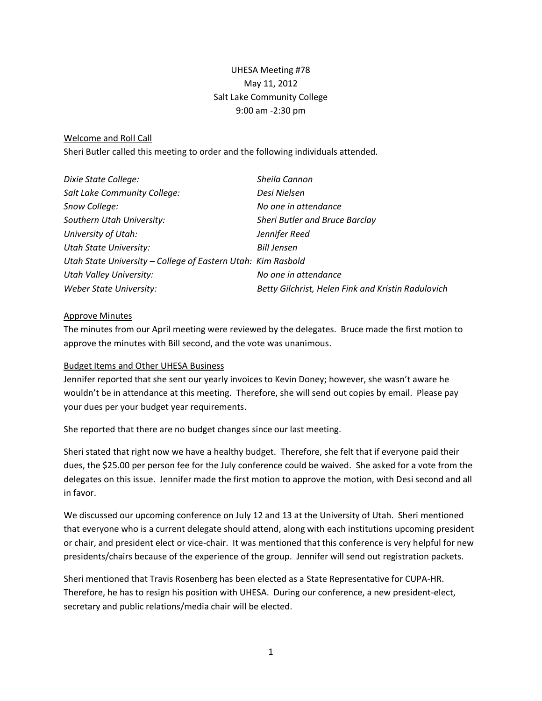# UHESA Meeting #78 May 11, 2012 Salt Lake Community College 9:00 am -2:30 pm

### Welcome and Roll Call

Sheri Butler called this meeting to order and the following individuals attended.

| Dixie State College:                                         | Sheila Cannon                                      |
|--------------------------------------------------------------|----------------------------------------------------|
| Salt Lake Community College:                                 | Desi Nielsen                                       |
| Snow College:                                                | No one in attendance                               |
| Southern Utah University:                                    | Sheri Butler and Bruce Barclay                     |
| University of Utah:                                          | Jennifer Reed                                      |
| <b>Utah State University:</b>                                | <b>Bill Jensen</b>                                 |
| Utah State University - College of Eastern Utah: Kim Rasbold |                                                    |
| <b>Utah Valley University:</b>                               | No one in attendance                               |
| Weber State University:                                      | Betty Gilchrist, Helen Fink and Kristin Radulovich |

### Approve Minutes

The minutes from our April meeting were reviewed by the delegates. Bruce made the first motion to approve the minutes with Bill second, and the vote was unanimous.

#### Budget Items and Other UHESA Business

Jennifer reported that she sent our yearly invoices to Kevin Doney; however, she wasn't aware he wouldn't be in attendance at this meeting. Therefore, she will send out copies by email. Please pay your dues per your budget year requirements.

She reported that there are no budget changes since our last meeting.

Sheri stated that right now we have a healthy budget. Therefore, she felt that if everyone paid their dues, the \$25.00 per person fee for the July conference could be waived. She asked for a vote from the delegates on this issue. Jennifer made the first motion to approve the motion, with Desi second and all in favor.

We discussed our upcoming conference on July 12 and 13 at the University of Utah. Sheri mentioned that everyone who is a current delegate should attend, along with each institutions upcoming president or chair, and president elect or vice-chair. It was mentioned that this conference is very helpful for new presidents/chairs because of the experience of the group. Jennifer will send out registration packets.

Sheri mentioned that Travis Rosenberg has been elected as a State Representative for CUPA-HR. Therefore, he has to resign his position with UHESA. During our conference, a new president-elect, secretary and public relations/media chair will be elected.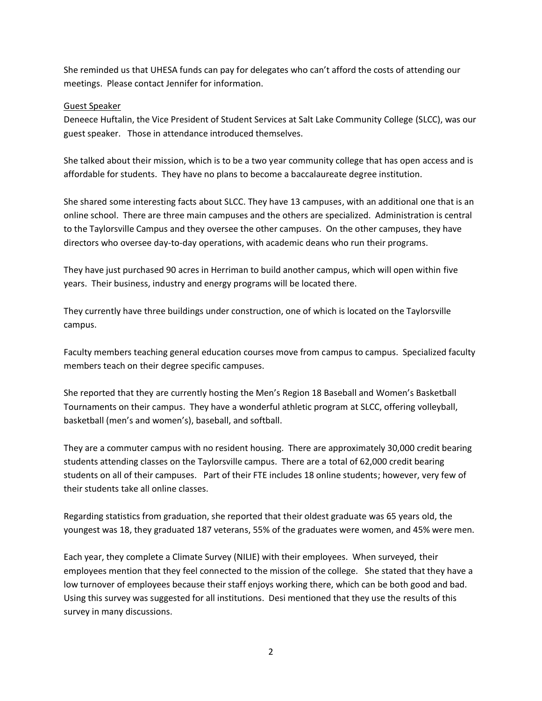She reminded us that UHESA funds can pay for delegates who can't afford the costs of attending our meetings. Please contact Jennifer for information.

## Guest Speaker

Deneece Huftalin, the Vice President of Student Services at Salt Lake Community College (SLCC), was our guest speaker. Those in attendance introduced themselves.

She talked about their mission, which is to be a two year community college that has open access and is affordable for students. They have no plans to become a baccalaureate degree institution.

She shared some interesting facts about SLCC. They have 13 campuses, with an additional one that is an online school. There are three main campuses and the others are specialized. Administration is central to the Taylorsville Campus and they oversee the other campuses. On the other campuses, they have directors who oversee day-to-day operations, with academic deans who run their programs.

They have just purchased 90 acres in Herriman to build another campus, which will open within five years. Their business, industry and energy programs will be located there.

They currently have three buildings under construction, one of which is located on the Taylorsville campus.

Faculty members teaching general education courses move from campus to campus. Specialized faculty members teach on their degree specific campuses.

She reported that they are currently hosting the Men's Region 18 Baseball and Women's Basketball Tournaments on their campus. They have a wonderful athletic program at SLCC, offering volleyball, basketball (men's and women's), baseball, and softball.

They are a commuter campus with no resident housing. There are approximately 30,000 credit bearing students attending classes on the Taylorsville campus. There are a total of 62,000 credit bearing students on all of their campuses. Part of their FTE includes 18 online students; however, very few of their students take all online classes.

Regarding statistics from graduation, she reported that their oldest graduate was 65 years old, the youngest was 18, they graduated 187 veterans, 55% of the graduates were women, and 45% were men.

Each year, they complete a Climate Survey (NILIE) with their employees. When surveyed, their employees mention that they feel connected to the mission of the college. She stated that they have a low turnover of employees because their staff enjoys working there, which can be both good and bad. Using this survey was suggested for all institutions. Desi mentioned that they use the results of this survey in many discussions.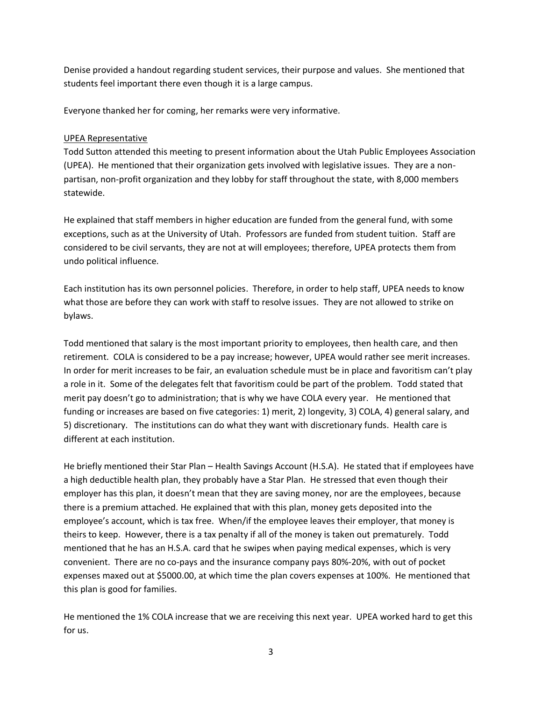Denise provided a handout regarding student services, their purpose and values. She mentioned that students feel important there even though it is a large campus.

Everyone thanked her for coming, her remarks were very informative.

## UPEA Representative

Todd Sutton attended this meeting to present information about the Utah Public Employees Association (UPEA). He mentioned that their organization gets involved with legislative issues. They are a nonpartisan, non-profit organization and they lobby for staff throughout the state, with 8,000 members statewide.

He explained that staff members in higher education are funded from the general fund, with some exceptions, such as at the University of Utah. Professors are funded from student tuition. Staff are considered to be civil servants, they are not at will employees; therefore, UPEA protects them from undo political influence.

Each institution has its own personnel policies. Therefore, in order to help staff, UPEA needs to know what those are before they can work with staff to resolve issues. They are not allowed to strike on bylaws.

Todd mentioned that salary is the most important priority to employees, then health care, and then retirement. COLA is considered to be a pay increase; however, UPEA would rather see merit increases. In order for merit increases to be fair, an evaluation schedule must be in place and favoritism can't play a role in it. Some of the delegates felt that favoritism could be part of the problem. Todd stated that merit pay doesn't go to administration; that is why we have COLA every year. He mentioned that funding or increases are based on five categories: 1) merit, 2) longevity, 3) COLA, 4) general salary, and 5) discretionary. The institutions can do what they want with discretionary funds. Health care is different at each institution.

He briefly mentioned their Star Plan – Health Savings Account (H.S.A). He stated that if employees have a high deductible health plan, they probably have a Star Plan. He stressed that even though their employer has this plan, it doesn't mean that they are saving money, nor are the employees, because there is a premium attached. He explained that with this plan, money gets deposited into the employee's account, which is tax free. When/if the employee leaves their employer, that money is theirs to keep. However, there is a tax penalty if all of the money is taken out prematurely. Todd mentioned that he has an H.S.A. card that he swipes when paying medical expenses, which is very convenient. There are no co-pays and the insurance company pays 80%-20%, with out of pocket expenses maxed out at \$5000.00, at which time the plan covers expenses at 100%. He mentioned that this plan is good for families.

He mentioned the 1% COLA increase that we are receiving this next year. UPEA worked hard to get this for us.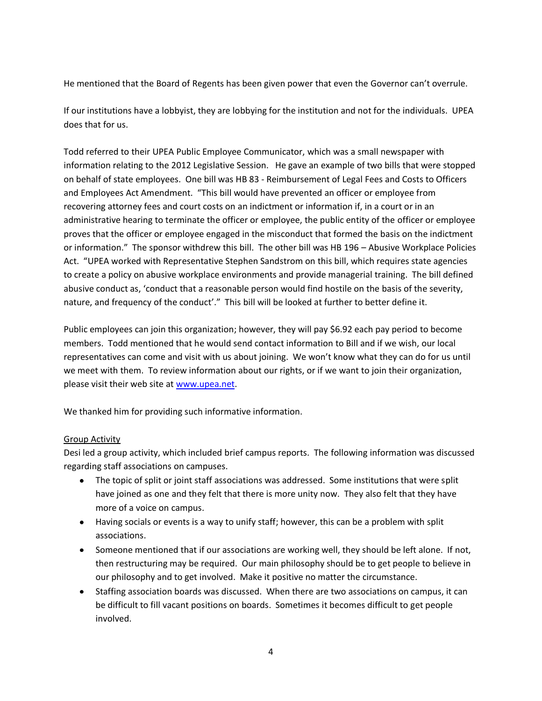He mentioned that the Board of Regents has been given power that even the Governor can't overrule.

If our institutions have a lobbyist, they are lobbying for the institution and not for the individuals. UPEA does that for us.

Todd referred to their UPEA Public Employee Communicator, which was a small newspaper with information relating to the 2012 Legislative Session. He gave an example of two bills that were stopped on behalf of state employees. One bill was HB 83 - Reimbursement of Legal Fees and Costs to Officers and Employees Act Amendment. "This bill would have prevented an officer or employee from recovering attorney fees and court costs on an indictment or information if, in a court or in an administrative hearing to terminate the officer or employee, the public entity of the officer or employee proves that the officer or employee engaged in the misconduct that formed the basis on the indictment or information." The sponsor withdrew this bill. The other bill was HB 196 – Abusive Workplace Policies Act. "UPEA worked with Representative Stephen Sandstrom on this bill, which requires state agencies to create a policy on abusive workplace environments and provide managerial training. The bill defined abusive conduct as, 'conduct that a reasonable person would find hostile on the basis of the severity, nature, and frequency of the conduct'." This bill will be looked at further to better define it.

Public employees can join this organization; however, they will pay \$6.92 each pay period to become members. Todd mentioned that he would send contact information to Bill and if we wish, our local representatives can come and visit with us about joining. We won't know what they can do for us until we meet with them. To review information about our rights, or if we want to join their organization, please visit their web site at [www.upea.net.](http://www.upea.net/)

We thanked him for providing such informative information.

# Group Activity

Desi led a group activity, which included brief campus reports. The following information was discussed regarding staff associations on campuses.

- The topic of split or joint staff associations was addressed. Some institutions that were split have joined as one and they felt that there is more unity now. They also felt that they have more of a voice on campus.
- Having socials or events is a way to unify staff; however, this can be a problem with split associations.
- Someone mentioned that if our associations are working well, they should be left alone. If not, then restructuring may be required. Our main philosophy should be to get people to believe in our philosophy and to get involved. Make it positive no matter the circumstance.
- Staffing association boards was discussed. When there are two associations on campus, it can be difficult to fill vacant positions on boards. Sometimes it becomes difficult to get people involved.